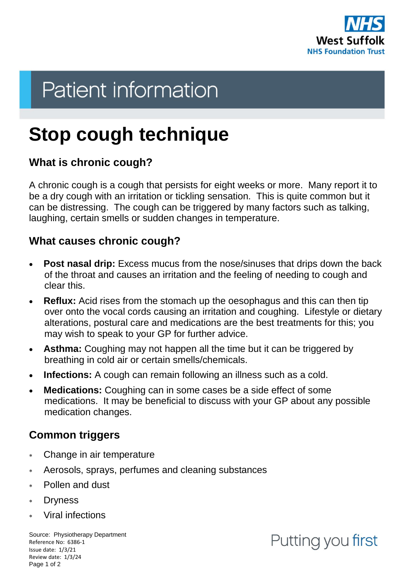

# **Patient information**

## **Stop cough technique**

#### **What is chronic cough?**

A chronic cough is a cough that persists for eight weeks or more. Many report it to be a dry cough with an irritation or tickling sensation. This is quite common but it can be distressing. The cough can be triggered by many factors such as talking, laughing, certain smells or sudden changes in temperature.

#### **What causes chronic cough?**

- **Post nasal drip:** Excess mucus from the nose/sinuses that drips down the back of the throat and causes an irritation and the feeling of needing to cough and clear this.
- **Reflux:** Acid rises from the stomach up the oesophagus and this can then tip over onto the vocal cords causing an irritation and coughing. Lifestyle or dietary alterations, postural care and medications are the best treatments for this; you may wish to speak to your GP for further advice.
- **Asthma:** Coughing may not happen all the time but it can be triggered by breathing in cold air or certain smells/chemicals.
- **Infections:** A cough can remain following an illness such as a cold.
- **Medications:** Coughing can in some cases be a side effect of some medications. It may be beneficial to discuss with your GP about any possible medication changes.

#### **Common triggers**

- Change in air temperature
- Aerosols, sprays, perfumes and cleaning substances
- Pollen and dust
- Dryness
- Viral infections

Source: Physiotherapy Department Reference No: 6386-1 Issue date: 1/3/21 Review date: 1/3/24 Page 1 of 2

### Putting you first